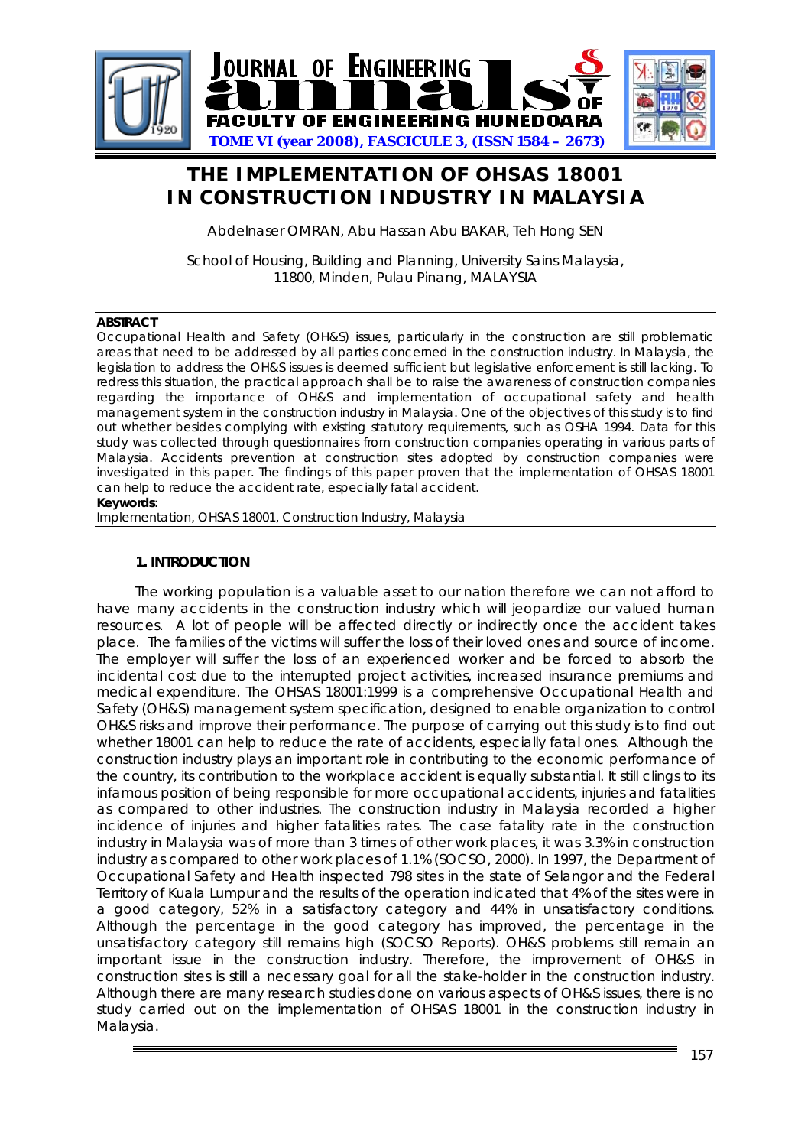

# **THE IMPLEMENTATION OF OHSAS 18001 IN CONSTRUCTION INDUSTRY IN MALAYSIA**

Abdelnaser OMRAN, Abu Hassan Abu BAKAR, Teh Hong SEN

School of Housing, Building and Planning, University Sains Malaysia, 11800, Minden, Pulau Pinang, MALAYSIA

#### **ABSTRACT**

Occupational Health and Safety (OH&S) issues, particularly in the construction are still problematic areas that need to be addressed by all parties concerned in the construction industry. In Malaysia, the legislation to address the OH&S issues is deemed sufficient but legislative enforcement is still lacking. To redress this situation, the practical approach shall be to raise the awareness of construction companies regarding the importance of OH&S and implementation of occupational safety and health management system in the construction industry in Malaysia. One of the objectives of this study is to find out whether besides complying with existing statutory requirements, such as OSHA 1994. Data for this study was collected through questionnaires from construction companies operating in various parts of Malaysia. Accidents prevention at construction sites adopted by construction companies were investigated in this paper. The findings of this paper proven that the implementation of OHSAS 18001 can help to reduce the accident rate, especially fatal accident. **Keywords**:

Implementation, OHSAS 18001, Construction Industry, Malaysia

# **1. INTRODUCTION**

The working population is a valuable asset to our nation therefore we can not afford to have many accidents in the construction industry which will jeopardize our valued human resources. A lot of people will be affected directly or indirectly once the accident takes place. The families of the victims will suffer the loss of their loved ones and source of income. The employer will suffer the loss of an experienced worker and be forced to absorb the incidental cost due to the interrupted project activities, increased insurance premiums and medical expenditure. The OHSAS 18001:1999 is a comprehensive Occupational Health and Safety (OH&S) management system specification, designed to enable organization to control OH&S risks and improve their performance. The purpose of carrying out this study is to find out whether 18001 can help to reduce the rate of accidents, especially fatal ones. Although the construction industry plays an important role in contributing to the economic performance of the country, its contribution to the workplace accident is equally substantial. It still clings to its infamous position of being responsible for more occupational accidents, injuries and fatalities as compared to other industries. The construction industry in Malaysia recorded a higher incidence of injuries and higher fatalities rates. The case fatality rate in the construction industry in Malaysia was of more than 3 times of other work places, it was 3.3% in construction industry as compared to other work places of 1.1% (SOCSO, 2000). In 1997, the Department of Occupational Safety and Health inspected 798 sites in the state of Selangor and the Federal Territory of Kuala Lumpur and the results of the operation indicated that 4% of the sites were in a good category, 52% in a satisfactory category and 44% in unsatisfactory conditions. Although the percentage in the good category has improved, the percentage in the unsatisfactory category still remains high (SOCSO Reports). OH&S problems still remain an important issue in the construction industry. Therefore, the improvement of OH&S in construction sites is still a necessary goal for all the stake-holder in the construction industry. Although there are many research studies done on various aspects of OH&S issues, there is no study carried out on the implementation of OHSAS 18001 in the construction industry in Malaysia.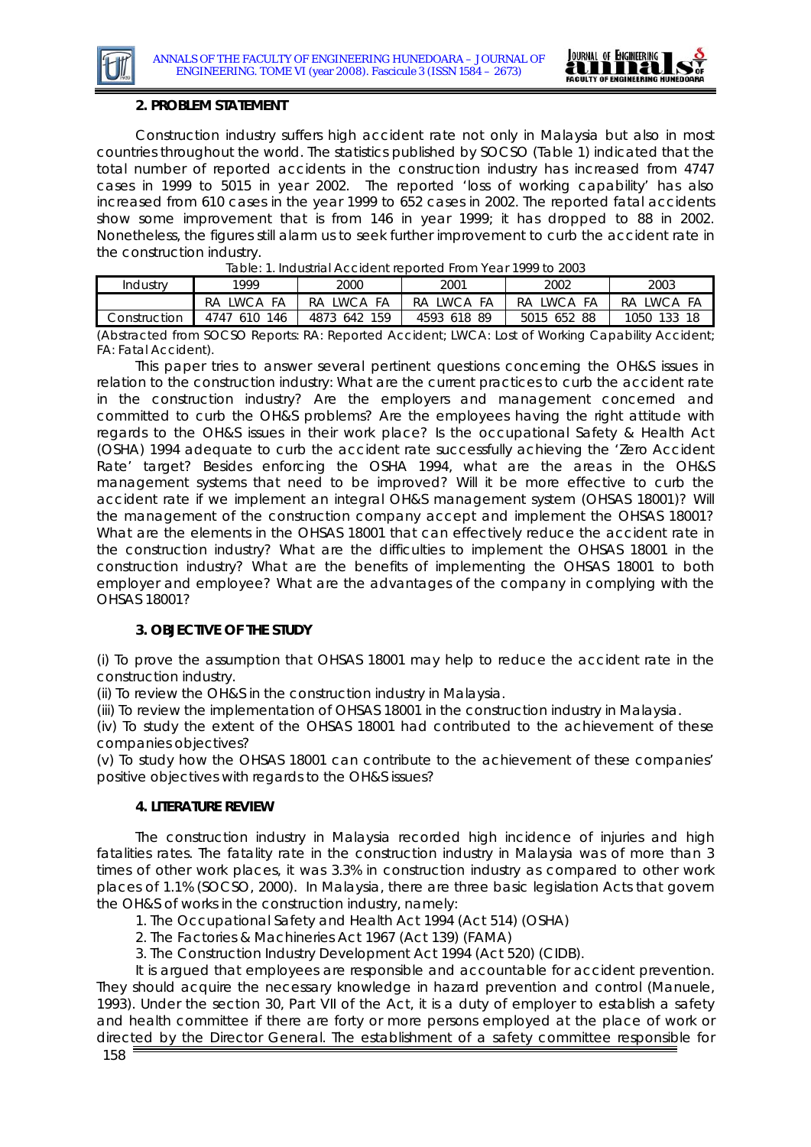

# **2. PROBLEM STATEMENT**

Construction industry suffers high accident rate not only in Malaysia but also in most countries throughout the world. The statistics published by SOCSO (Table 1) indicated that the total number of reported accidents in the construction industry has increased from 4747 cases in 1999 to 5015 in year 2002. The reported 'loss of working capability' has also increased from 610 cases in the year 1999 to 652 cases in 2002. The reported fatal accidents show some improvement that is from 146 in year 1999; it has dropped to 88 in 2002. Nonetheless, the figures still alarm us to seek further improvement to curb the accident rate in the construction industry.

| Industrv                                                                                          | 1999         | 2000         | 2001        | 2002        | 2003        |
|---------------------------------------------------------------------------------------------------|--------------|--------------|-------------|-------------|-------------|
|                                                                                                   | RA LWCA FA   | RA LWCA FA   | RA LWCA FA  | RA IWCA FA  | RA LWCA FA  |
| Construction                                                                                      | 4747 610 146 | 4873 642 159 | 4593 618 89 | 5015 652 88 | 1050 133 18 |
| (Abstracted from SOCSO Reports: RA: Reported Accident: UNCA: Lost of Working Canability Accident: |              |              |             |             |             |

|  | Table: 1. Industrial Accident reported From Year 1999 to 2003 |  |  |  |
|--|---------------------------------------------------------------|--|--|--|

*(Abstracted from SOCSO Reports: RA: Reported Accident; LWCA: Lost of Working Capability Accident; FA: Fatal Accident).* 

This paper tries to answer several pertinent questions concerning the OH&S issues in relation to the construction industry: What are the current practices to curb the accident rate in the construction industry? Are the employers and management concerned and committed to curb the OH&S problems? Are the employees having the right attitude with regards to the OH&S issues in their work place? Is the occupational Safety & Health Act (OSHA) 1994 adequate to curb the accident rate successfully achieving the 'Zero Accident Rate' target? Besides enforcing the OSHA 1994, what are the areas in the OH&S management systems that need to be improved? Will it be more effective to curb the accident rate if we implement an integral OH&S management system (OHSAS 18001)? Will the management of the construction company accept and implement the OHSAS 18001? What are the elements in the OHSAS 18001 that can effectively reduce the accident rate in the construction industry? What are the difficulties to implement the OHSAS 18001 in the construction industry? What are the benefits of implementing the OHSAS 18001 to both employer and employee? What are the advantages of the company in complying with the OHSAS 18001?

# **3. OBJECTIVE OF THE STUDY**

(i) To prove the assumption that OHSAS 18001 may help to reduce the accident rate in the construction industry.

(ii) To review the OH&S in the construction industry in Malaysia.

(iii) To review the implementation of OHSAS 18001 in the construction industry in Malaysia.

(iv) To study the extent of the OHSAS 18001 had contributed to the achievement of these companies objectives?

(v) To study how the OHSAS 18001 can contribute to the achievement of these companies' positive objectives with regards to the OH&S issues?

# **4. LITERATURE REVIEW**

The construction industry in Malaysia recorded high incidence of injuries and high fatalities rates. The fatality rate in the construction industry in Malaysia was of more than 3 times of other work places, it was 3.3% in construction industry as compared to other work places of 1.1% (SOCSO, 2000). In Malaysia, there are three basic legislation Acts that govern the OH&S of works in the construction industry, namely:

1. The Occupational Safety and Health Act 1994 (Act 514) (OSHA)

2. The Factories & Machineries Act 1967 (Act 139) (FAMA)

3. The Construction Industry Development Act 1994 (Act 520) (CIDB).

It is argued that employees are responsible and accountable for accident prevention. They should acquire the necessary knowledge in hazard prevention and control (Manuele, 1993). Under the section 30, Part VII of the Act, it is a duty of employer to establish a safety and health committee if there are forty or more persons employed at the place of work or directed by the Director General. The establishment of a safety committee responsible for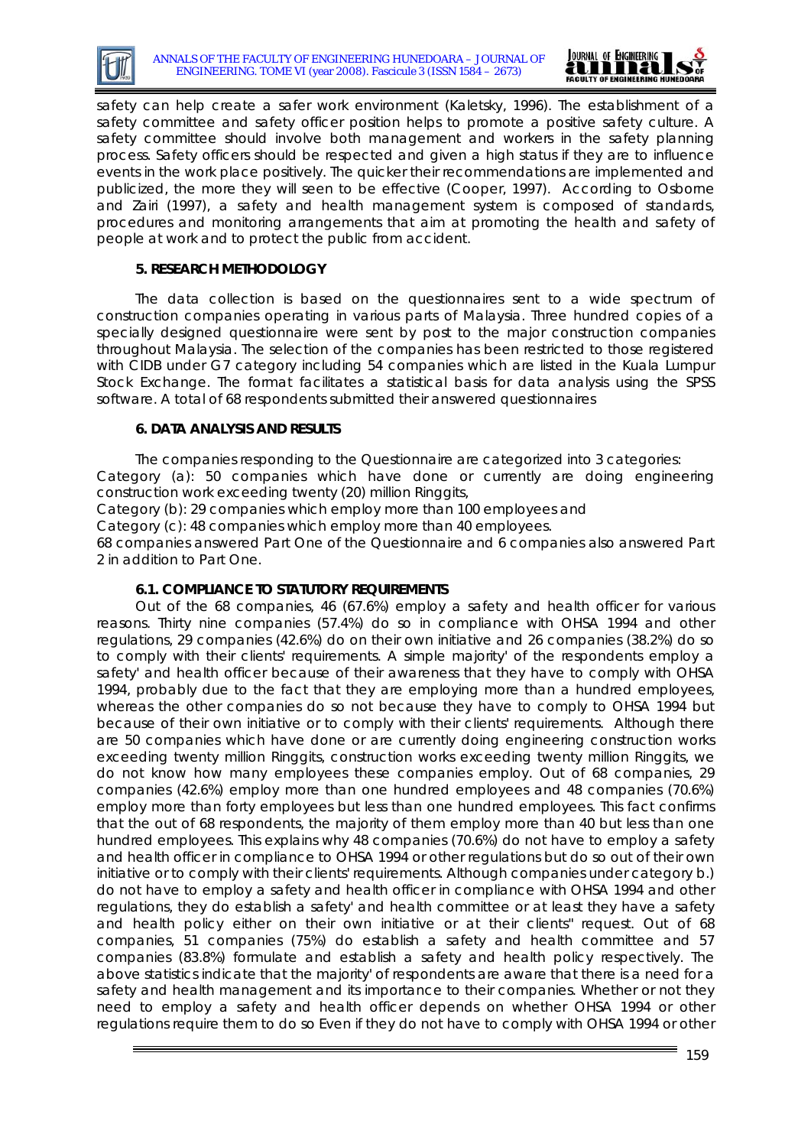



safety can help create a safer work environment (Kaletsky, 1996). The establishment of a safety committee and safety officer position helps to promote a positive safety culture. A safety committee should involve both management and workers in the safety planning process. Safety officers should be respected and given a high status if they are to influence events in the work place positively. The quicker their recommendations are implemented and publicized, the more they will seen to be effective (Cooper, 1997). According to Osborne and Zairi (1997), a safety and health management system is composed of standards, procedures and monitoring arrangements that aim at promoting the health and safety of people at work and to protect the public from accident.

# **5. RESEARCH METHODOLOGY**

The data collection is based on the questionnaires sent to a wide spectrum of construction companies operating in various parts of Malaysia. Three hundred copies of a specially designed questionnaire were sent by post to the major construction companies throughout Malaysia. The selection of the companies has been restricted to those registered with CIDB under G7 category including 54 companies which are listed in the Kuala Lumpur Stock Exchange. The format facilitates a statistical basis for data analysis using the SPSS software. A total of 68 respondents submitted their answered questionnaires

# **6. DATA ANALYSIS AND RESULTS**

The companies responding to the Questionnaire are categorized into 3 categories: Category (a): 50 companies which have done or currently are doing engineering construction work exceeding twenty (20) million Ringgits,

Category (b): 29 companies which employ more than 100 employees and

Category (c): 48 companies which employ more than 40 employees.

68 companies answered Part One of the Questionnaire and 6 companies also answered Part 2 in addition to Part One.

# **6.1. COMPLIANCE TO STATUTORY REQUIREMENTS**

Out of the 68 companies, 46 (67.6%) employ a safety and health officer for various reasons. Thirty nine companies (57.4%) do so in compliance with OHSA 1994 and other regulations, 29 companies (42.6%) do on their own initiative and 26 companies (38.2%) do so to comply with their clients' requirements. A simple majority' of the respondents employ a safety' and health officer because of their awareness that they have to comply with OHSA 1994, probably due to the fact that they are employing more than a hundred employees, whereas the other companies do so not because they have to comply to OHSA 1994 but because of their own initiative or to comply with their clients' requirements. Although there are 50 companies which have done or are currently doing engineering construction works exceeding twenty million Ringgits, construction works exceeding twenty million Ringgits, we do not know how many employees these companies employ. Out of 68 companies, 29 companies (42.6%) employ more than one hundred employees and 48 companies (70.6%) employ more than forty employees but less than one hundred employees. This fact confirms that the out of 68 respondents, the majority of them employ more than 40 but less than one hundred employees. This explains why 48 companies (70.6%) do not have to employ a safety and health officer in compliance to OHSA 1994 or other regulations but do so out of their own initiative or to comply with their clients' requirements. Although companies under category b.) do not have to employ a safety and health officer in compliance with OHSA 1994 and other regulations, they do establish a safety' and health committee or at least they have a safety and health policy either on their own initiative or at their clients" request. Out of 68 companies, 51 companies (75%) do establish a safety and health committee and 57 companies (83.8%) formulate and establish a safety and health policy respectively. The above statistics indicate that the majority' of respondents are aware that there is a need for a safety and health management and its importance to their companies. Whether or not they need to employ a safety and health officer depends on whether OHSA 1994 or other regulations require them to do so Even if they do not have to comply with OHSA 1994 or other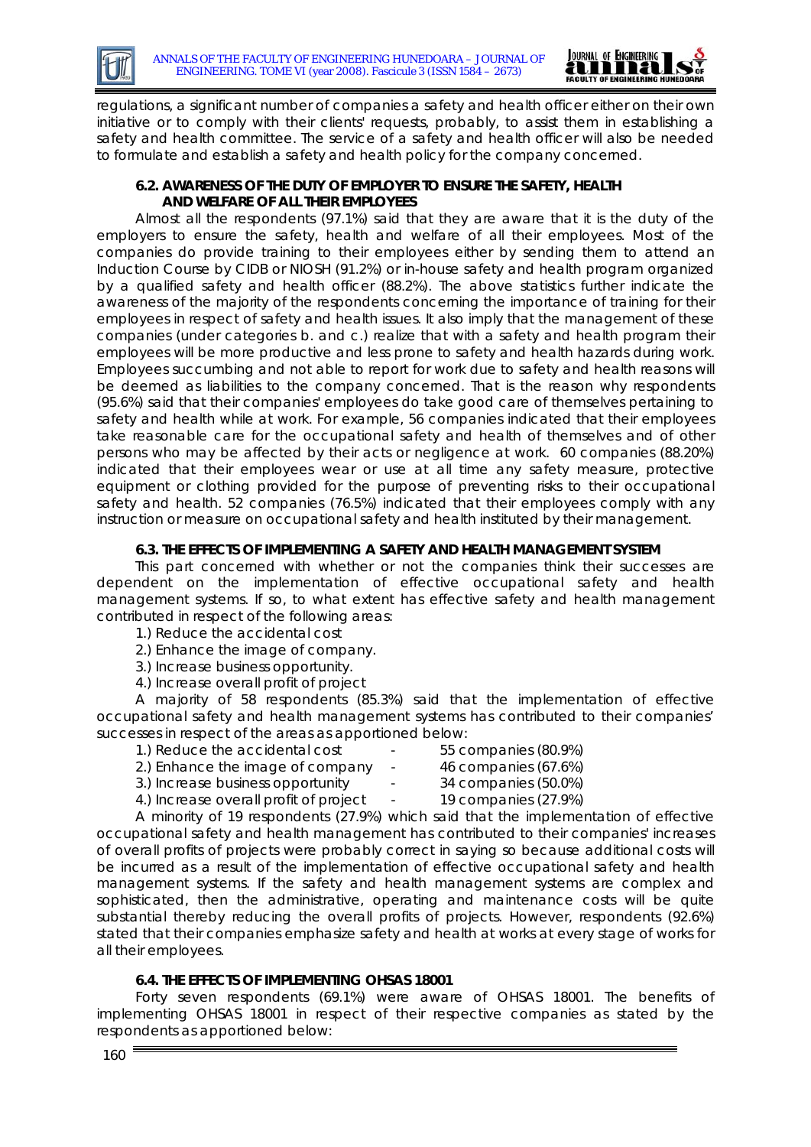

regulations, a significant number of companies a safety and health officer either on their own initiative or to comply with their clients' requests, probably, to assist them in establishing a safety and health committee. The service of a safety and health officer will also be needed to formulate and establish a safety and health policy for the company concerned.

# **6.2. AWARENESS OF THE DUTY OF EMPLOYER TO ENSURE THE SAFETY, HEALTH AND WELFARE OF ALL THEIR EMPLOYEES**

Almost all the respondents (97.1%) said that they are aware that it is the duty of the employers to ensure the safety, health and welfare of all their employees. Most of the companies do provide training to their employees either by sending them to attend an Induction Course by CIDB or NIOSH (91.2%) or in-house safety and health program organized by a qualified safety and health officer (88.2%). The above statistics further indicate the awareness of the majority of the respondents concerning the importance of training for their employees in respect of safety and health issues. It also imply that the management of these companies (under categories b. and c.) realize that with a safety and health program their employees will be more productive and less prone to safety and health hazards during work. Employees succumbing and not able to report for work due to safety and health reasons will be deemed as liabilities to the company concerned. That is the reason why respondents (95.6%) said that their companies' employees do take good care of themselves pertaining to safety and health while at work. For example, 56 companies indicated that their employees take reasonable care for the occupational safety and health of themselves and of other persons who may be affected by their acts or negligence at work. 60 companies (88.20%) indicated that their employees wear or use at all time any safety measure, protective equipment or clothing provided for the purpose of preventing risks to their occupational safety and health. 52 companies (76.5%) indicated that their employees comply with any instruction or measure on occupational safety and health instituted by their management.

# **6.3. THE EFFECTS OF IMPLEMENTING A SAFETY AND HEALTH MANAGEMENT SYSTEM**

This part concerned with whether or not the companies think their successes are dependent on the implementation of effective occupational safety and health management systems. If so, to what extent has effective safety and health management contributed in respect of the following areas:

- 1.) Reduce the accidental cost
- 2.) Enhance the image of company.
- 3.) Increase business opportunity.
- 4.) Increase overall profit of project

A majority of 58 respondents (85.3%) said that the implementation of effective occupational safety and health management systems has contributed to their companies' successes in respect of the areas as apportioned below:

- 1.) Reduce the accidental cost 55 companies (80.9%)
- 2.) Enhance the image of company 46 companies (67.6%)
- -
- 3.) Increase business opportunity 34 companies (50.0%)
- 4.) Increase overall profit of project 19 companies (27.9%)
- 

A minority of 19 respondents (27.9%) which said that the implementation of effective occupational safety and health management has contributed to their companies' increases of overall profits of projects were probably correct in saying so because additional costs will be incurred as a result of the implementation of effective occupational safety and health management systems. If the safety and health management systems are complex and sophisticated, then the administrative, operating and maintenance costs will be quite substantial thereby reducing the overall profits of projects. However, respondents (92.6%) stated that their companies emphasize safety and health at works at every stage of works for all their employees.

# **6.4. THE EFFECTS OF IMPLEMENTING OHSAS 18001**

Forty seven respondents (69.1%) were aware of OHSAS 18001. The benefits of implementing OHSAS 18001 in respect of their respective companies as stated by the respondents as apportioned below: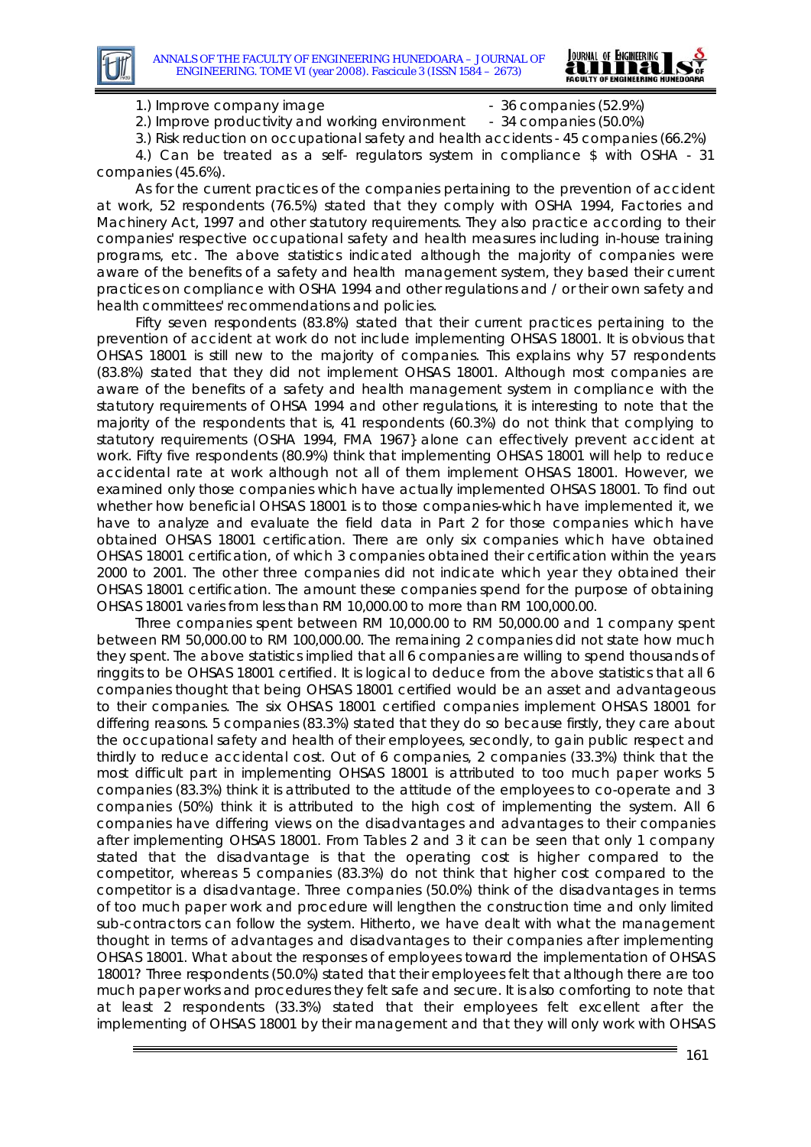

1.) Improve company image  $\sim$  36 companies (52.9%)

2.) Improve productivity and working environment - 34 companies (50.0%)

3.) Risk reduction on occupational safety and health accidents - 45 companies (66.2%)

4.) Can be treated as a self- regulators system in compliance \$ with OSHA - 31 companies (45.6%).

As for the current practices of the companies pertaining to the prevention of accident at work, 52 respondents (76.5%) stated that they comply with OSHA 1994, Factories and Machinery Act, 1997 and other statutory requirements. They also practice according to their companies' respective occupational safety and health measures including in-house training programs, etc. The above statistics indicated although the majority of companies were aware of the benefits of a safety and health management system, they based their current practices on compliance with OSHA 1994 and other regulations and / or their own safety and health committees' recommendations and policies.

Fifty seven respondents (83.8%) stated that their current practices pertaining to the prevention of accident at work do not include implementing OHSAS 18001. It is obvious that OHSAS 18001 is still new to the majority of companies. This explains why 57 respondents (83.8%) stated that they did not implement OHSAS 18001. Although most companies are aware of the benefits of a safety and health management system in compliance with the statutory requirements of OHSA 1994 and other regulations, it is interesting to note that the majority of the respondents that is, 41 respondents (60.3%) do not think that complying to statutory requirements (OSHA 1994, FMA 1967} alone can effectively prevent accident at work. Fifty five respondents (80.9%) think that implementing OHSAS 18001 will help to reduce accidental rate at work although not all of them implement OHSAS 18001. However, we examined only those companies which have actually implemented OHSAS 18001. To find out whether how beneficial OHSAS 18001 is to those companies-which have implemented it, we have to analyze and evaluate the field data in Part 2 for those companies which have obtained OHSAS 18001 certification. There are only six companies which have obtained OHSAS 18001 certification, of which 3 companies obtained their certification within the years 2000 to 2001. The other three companies did not indicate which year they obtained their OHSAS 18001 certification. The amount these companies spend for the purpose of obtaining OHSAS 18001 varies from less than RM 10,000.00 to more than RM 100,000.00.

Three companies spent between RM 10,000.00 to RM 50,000.00 and 1 company spent between RM 50,000.00 to RM 100,000.00. The remaining 2 companies did not state how much they spent. The above statistics implied that all 6 companies are willing to spend thousands of ringgits to be OHSAS 18001 certified. It is logical to deduce from the above statistics that all 6 companies thought that being OHSAS 18001 certified would be an asset and advantageous to their companies. The six OHSAS 18001 certified companies implement OHSAS 18001 for differing reasons. 5 companies (83.3%) stated that they do so because firstly, they care about the occupational safety and health of their employees, secondly, to gain public respect and thirdly to reduce accidental cost. Out of 6 companies, 2 companies (33.3%) think that the most difficult part in implementing OHSAS 18001 is attributed to too much paper works 5 companies (83.3%) think it is attributed to the attitude of the employees to co-operate and 3 companies (50%) think it is attributed to the high cost of implementing the system. All 6 companies have differing views on the disadvantages and advantages to their companies after implementing OHSAS 18001. From Tables 2 and 3 it can be seen that only 1 company stated that the disadvantage is that the operating cost is higher compared to the competitor, whereas 5 companies (83.3%) do not think that higher cost compared to the competitor is a disadvantage. Three companies (50.0%) think of the disadvantages in terms of too much paper work and procedure will lengthen the construction time and only limited sub-contractors can follow the system. Hitherto, we have dealt with what the management thought in terms of advantages and disadvantages to their companies after implementing OHSAS 18001. What about the responses of employees toward the implementation of OHSAS 18001? Three respondents (50.0%) stated that their employees felt that although there are too much paper works and procedures they felt safe and secure. It is also comforting to note that at least 2 respondents (33.3%) stated that their employees felt excellent after the implementing of OHSAS 18001 by their management and that they will only work with OHSAS